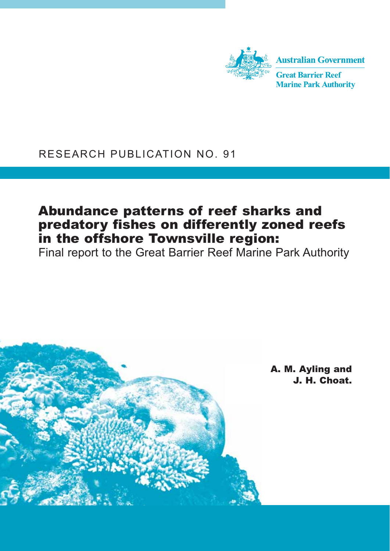

# RESEARCH PUBLICATION NO. 91

# Abundance patterns of reef sharks and predatory fishes on differently zoned reefs in the offshore Townsville region:

Final report to the Great Barrier Reef Marine Park Authority

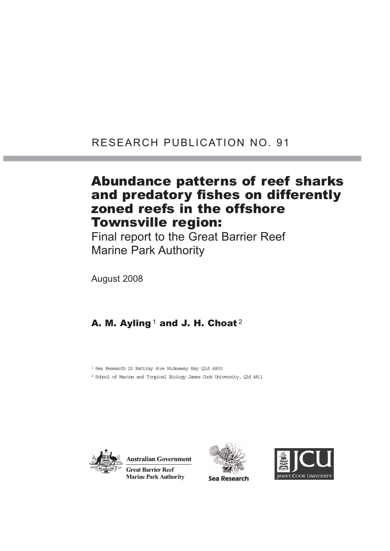# RESEARCH PUBLICATION NO. 91

# Abundance patterns of reef sharks and predatory fishes on differently zoned reefs in the offshore Townsville region:

Final report to the Great Barrier Reef Marine Park Authority

August 2008

# A. M. Ayling<sup>1</sup> and J. H. Choat<sup>2</sup>

1 Sea Research 20 Rattray Ave Hideaway Bay Qld 4800

2 School of Marine and Tropical Biology James Cook University, Qld 4811



**Australian Government Great Barrier Reef Marine Park Authority** 





Sea Research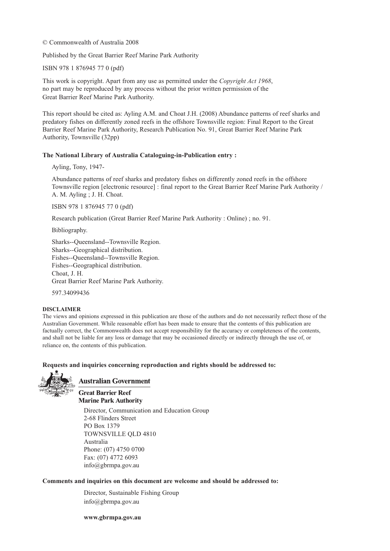© Commonwealth of Australia 2008

Published by the Great Barrier Reef Marine Park Authority

ISBN 978 1 876945 77 0 (pdf)

This work is copyright. Apart from any use as permitted under the *Copyright Act 1968*, no part may be reproduced by any process without the prior written permission of the Great Barrier Reef Marine Park Authority.

This report should be cited as: Ayling A.M. and Choat J.H. (2008) Abundance patterns of reef sharks and predatory fishes on differently zoned reefs in the offshore Townsville region: Final Report to the Great Barrier Reef Marine Park Authority, Research Publication No. 91, Great Barrier Reef Marine Park Authority, Townsville (32pp)

#### **The National Library of Australia Cataloguing-in-Publication entry :**

Ayling, Tony, 1947-

Abundance patterns of reef sharks and predatory fishes on differently zoned reefs in the offshore Townsville region [electronic resource] : final report to the Great Barrier Reef Marine Park Authority / A. M. Ayling ; J. H. Choat.

ISBN 978 1 876945 77 0 (pdf)

Research publication (Great Barrier Reef Marine Park Authority : Online) ; no. 91.

Bibliography.

Sharks--Queensland--Townsville Region. Sharks--Geographical distribution. Fishes--Queensland--Townsville Region. Fishes--Geographical distribution. Choat, J. H. Great Barrier Reef Marine Park Authority.

597.34099436

#### **DISCLAIMER**

The views and opinions expressed in this publication are those of the authors and do not necessarily reflect those of the Australian Government. While reasonable effort has been made to ensure that the contents of this publication are factually correct, the Commonwealth does not accept responsibility for the accuracy or completeness of the contents, and shall not be liable for any loss or damage that may be occasioned directly or indirectly through the use of, or reliance on, the contents of this publication.

#### **Requests and inquiries concerning reproduction and rights should be addressed to:**



#### **Australian Government**

**Great Barrier Reef Marine Park Authority** 

Director, Communication and Education Group 2-68 Flinders Street PO Box 1379 TOWNSVILLE QLD 4810 Australia Phone: (07) 4750 0700 Fax: (07) 4772 6093 info@gbrmpa.gov.au

#### **Comments and inquiries on this document are welcome and should be addressed to:**

Director, Sustainable Fishing Group info@gbrmpa.gov.au

**www.gbrmpa.gov.au**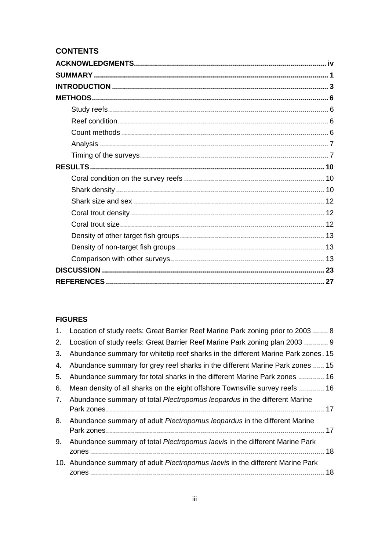# **CONTENTS**

### **FIGURES**

|    | 1. Location of study reefs: Great Barrier Reef Marine Park zoning prior to 2003 8  |  |
|----|------------------------------------------------------------------------------------|--|
| 2. | Location of study reefs: Great Barrier Reef Marine Park zoning plan 2003  9        |  |
| 3. | Abundance summary for whitetip reef sharks in the different Marine Park zones. 15  |  |
| 4. | Abundance summary for grey reef sharks in the different Marine Park zones 15       |  |
| 5. | Abundance summary for total sharks in the different Marine Park zones  16          |  |
| 6. | Mean density of all sharks on the eight offshore Townsville survey reefs  16       |  |
| 7. | Abundance summary of total Plectropomus leopardus in the different Marine          |  |
| 8. | Abundance summary of adult <i>Plectropomus leopardus</i> in the different Marine   |  |
| 9. | Abundance summary of total <i>Plectropomus laevis</i> in the different Marine Park |  |
|    | 10. Abundance summary of adult Plectropomus laevis in the different Marine Park    |  |
|    |                                                                                    |  |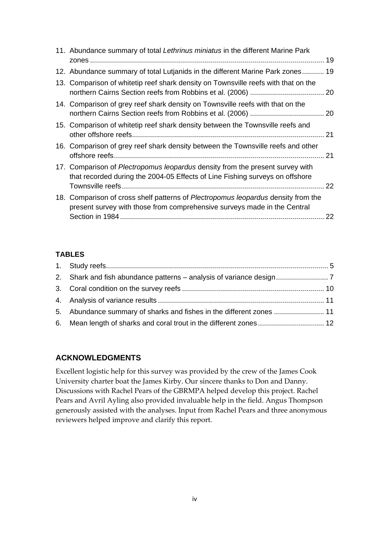| 11. Abundance summary of total Lethrinus miniatus in the different Marine Park                                                                                       |    |
|----------------------------------------------------------------------------------------------------------------------------------------------------------------------|----|
|                                                                                                                                                                      |    |
| 12. Abundance summary of total Lutjanids in the different Marine Park zones 19                                                                                       |    |
| 13. Comparison of whitetip reef shark density on Townsville reefs with that on the                                                                                   |    |
| 14. Comparison of grey reef shark density on Townsville reefs with that on the                                                                                       |    |
| 15. Comparison of whitetip reef shark density between the Townsville reefs and                                                                                       |    |
| 16. Comparison of grey reef shark density between the Townsville reefs and other                                                                                     |    |
| 17. Comparison of <i>Plectropomus leopardus</i> density from the present survey with<br>that recorded during the 2004-05 Effects of Line Fishing surveys on offshore |    |
| 18. Comparison of cross shelf patterns of Plectropomus leopardus density from the<br>present survey with those from comprehensive surveys made in the Central        | 22 |

### **TABLES**

## **ACKNOWLEDGMENTS**

Excellent logistic help for this survey was provided by the crew of the James Cook University charter boat the James Kirby. Our sincere thanks to Don and Danny. Discussions with Rachel Pears of the GBRMPA helped develop this project. Rachel Pears and Avril Ayling also provided invaluable help in the field. Angus Thompson generously assisted with the analyses. Input from Rachel Pears and three anonymous reviewers helped improve and clarify this report.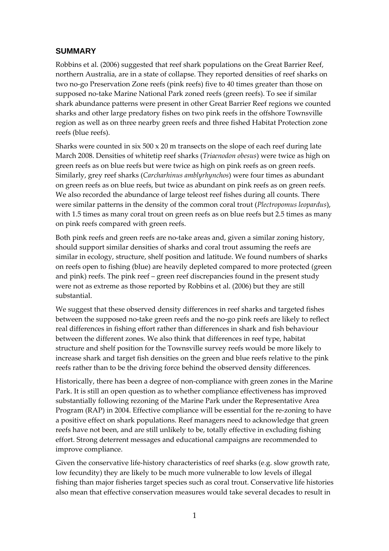## **SUMMARY**

Robbins et al. (2006) suggested that reef shark populations on the Great Barrier Reef, northern Australia, are in a state of collapse. They reported densities of reef sharks on two no‐go Preservation Zone reefs (pink reefs) five to 40 times greater than those on supposed no-take Marine National Park zoned reefs (green reefs). To see if similar shark abundance patterns were present in other Great Barrier Reef regions we counted sharks and other large predatory fishes on two pink reefs in the offshore Townsville region as well as on three nearby green reefs and three fished Habitat Protection zone reefs (blue reefs).

Sharks were counted in six 500 x 20 m transects on the slope of each reef during late March 2008. Densities of whitetip reef sharks (*Triaenodon obesus*) were twice as high on green reefs as on blue reefs but were twice as high on pink reefs as on green reefs. Similarly, grey reef sharks (*Carcharhinus amblyrhynchos*) were four times as abundant on green reefs as on blue reefs, but twice as abundant on pink reefs as on green reefs. We also recorded the abundance of large teleost reef fishes during all counts. There were similar patterns in the density of the common coral trout (*Plectropomus leopardus*), with 1.5 times as many coral trout on green reefs as on blue reefs but 2.5 times as many on pink reefs compared with green reefs.

Both pink reefs and green reefs are no-take areas and, given a similar zoning history, should support similar densities of sharks and coral trout assuming the reefs are similar in ecology, structure, shelf position and latitude. We found numbers of sharks on reefs open to fishing (blue) are heavily depleted compared to more protected (green and pink) reefs. The pink reef – green reef discrepancies found in the present study were not as extreme as those reported by Robbins et al. (2006) but they are still substantial.

We suggest that these observed density differences in reef sharks and targeted fishes between the supposed no-take green reefs and the no-go pink reefs are likely to reflect real differences in fishing effort rather than differences in shark and fish behaviour between the different zones. We also think that differences in reef type, habitat structure and shelf position for the Townsville survey reefs would be more likely to increase shark and target fish densities on the green and blue reefs relative to the pink reefs rather than to be the driving force behind the observed density differences.

Historically, there has been a degree of non‐compliance with green zones in the Marine Park. It is still an open question as to whether compliance effectiveness has improved substantially following rezoning of the Marine Park under the Representative Area Program (RAP) in 2004. Effective compliance will be essential for the re-zoning to have a positive effect on shark populations. Reef managers need to acknowledge that green reefs have not been, and are still unlikely to be, totally effective in excluding fishing effort. Strong deterrent messages and educational campaigns are recommended to improve compliance.

Given the conservative life-history characteristics of reef sharks (e.g. slow growth rate, low fecundity) they are likely to be much more vulnerable to low levels of illegal fishing than major fisheries target species such as coral trout. Conservative life histories also mean that effective conservation measures would take several decades to result in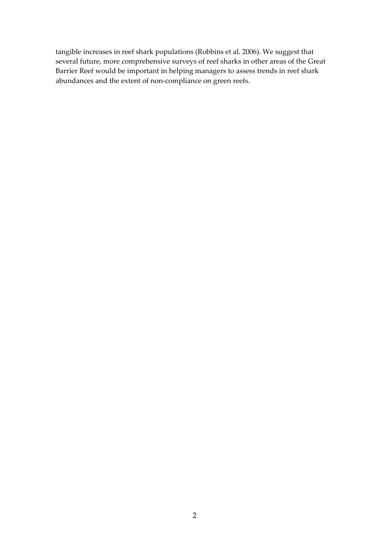tangible increases in reef shark populations (Robbins et al. 2006). We suggest that several future, more comprehensive surveys of reef sharks in other areas of the Great Barrier Reef would be important in helping managers to assess trends in reef shark abundances and the extent of non‐compliance on green reefs.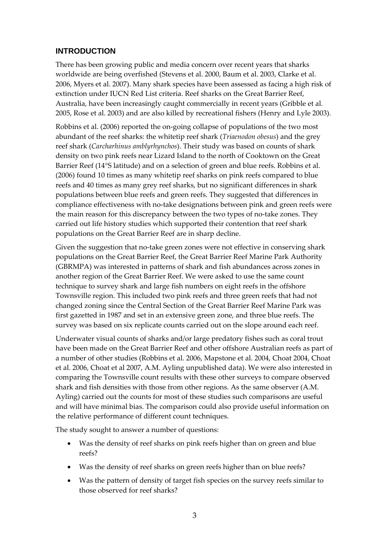### **INTRODUCTION**

There has been growing public and media concern over recent years that sharks worldwide are being overfished (Stevens et al. 2000, Baum et al. 2003, Clarke et al. 2006, Myers et al. 2007). Many shark species have been assessed as facing a high risk of extinction under IUCN Red List criteria. Reef sharks on the Great Barrier Reef, Australia, have been increasingly caught commercially in recent years (Gribble et al. 2005, Rose et al. 2003) and are also killed by recreational fishers (Henry and Lyle 2003).

Robbins et al. (2006) reported the on‐going collapse of populations of the two most abundant of the reef sharks: the whitetip reef shark (*Triaenodon obesus*) and the grey reef shark (*Carcharhinus amblyrhynchos*). Their study was based on counts of shark density on two pink reefs near Lizard Island to the north of Cooktown on the Great Barrier Reef (14°S latitude) and on a selection of green and blue reefs. Robbins et al. (2006) found 10 times as many whitetip reef sharks on pink reefs compared to blue reefs and 40 times as many grey reef sharks, but no significant differences in shark populations between blue reefs and green reefs. They suggested that differences in compliance effectiveness with no‐take designations between pink and green reefs were the main reason for this discrepancy between the two types of no-take zones. They carried out life history studies which supported their contention that reef shark populations on the Great Barrier Reef are in sharp decline.

Given the suggestion that no-take green zones were not effective in conserving shark populations on the Great Barrier Reef, the Great Barrier Reef Marine Park Authority (GBRMPA) was interested in patterns of shark and fish abundances across zones in another region of the Great Barrier Reef. We were asked to use the same count technique to survey shark and large fish numbers on eight reefs in the offshore Townsville region. This included two pink reefs and three green reefs that had not changed zoning since the Central Section of the Great Barrier Reef Marine Park was first gazetted in 1987 and set in an extensive green zone, and three blue reefs. The survey was based on six replicate counts carried out on the slope around each reef.

Underwater visual counts of sharks and/or large predatory fishes such as coral trout have been made on the Great Barrier Reef and other offshore Australian reefs as part of a number of other studies (Robbins et al. 2006, Mapstone et al. 2004, Choat 2004, Choat et al. 2006, Choat et al 2007, A.M. Ayling unpublished data). We were also interested in comparing the Townsville count results with these other surveys to compare observed shark and fish densities with those from other regions. As the same observer (A.M. Ayling) carried out the counts for most of these studies such comparisons are useful and will have minimal bias. The comparison could also provide useful information on the relative performance of different count techniques.

The study sought to answer a number of questions:

- Was the density of reef sharks on pink reefs higher than on green and blue reefs?
- Was the density of reef sharks on green reefs higher than on blue reefs?
- Was the pattern of density of target fish species on the survey reefs similar to those observed for reef sharks?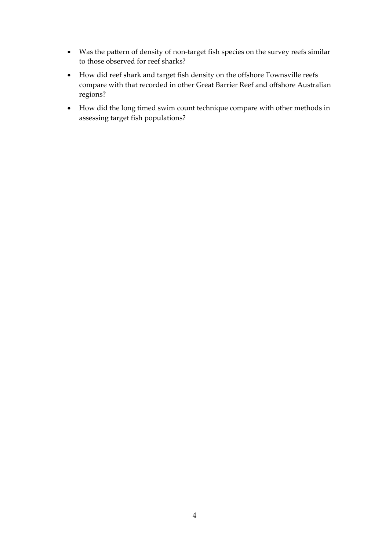- Was the pattern of density of non-target fish species on the survey reefs similar to those observed for reef sharks?
- How did reef shark and target fish density on the offshore Townsville reefs compare with that recorded in other Great Barrier Reef and offshore Australian regions?
- How did the long timed swim count technique compare with other methods in assessing target fish populations?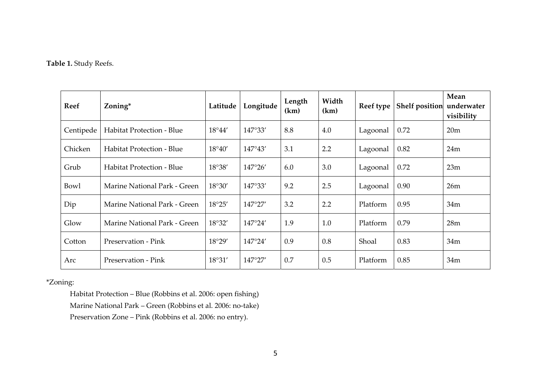#### **Table 1.** Study Reefs.

| <b>Reef</b> | Zoning*                          | Latitude | Longitude        | Length<br>(km) | Width<br>(km) | Reef type | <b>Shelf position</b> | Mean<br>underwater<br>visibility |
|-------------|----------------------------------|----------|------------------|----------------|---------------|-----------|-----------------------|----------------------------------|
| Centipede   | <b>Habitat Protection - Blue</b> | 18°44'   | 147°33'          | 8.8            | 4.0           | Lagoonal  | 0.72                  | 20m                              |
| Chicken     | <b>Habitat Protection - Blue</b> | 18°40'   | 147°43'          | 3.1            | 2.2           | Lagoonal  | 0.82                  | 24m                              |
| Grub        | <b>Habitat Protection - Blue</b> | 18°38'   | 147°26'          | 6.0            | 3.0           | Lagoonal  | 0.72                  | 23m                              |
| Bowl        | Marine National Park - Green     | 18°30'   | 147°33'          | 9.2            | 2.5           | Lagoonal  | 0.90                  | 26m                              |
| Dip         | Marine National Park - Green     | 18°25'   | $147^{\circ}27'$ | 3.2            | 2.2           | Platform  | 0.95                  | 34m                              |
| Glow        | Marine National Park - Green     | 18°32'   | $147^{\circ}24'$ | 1.9            | 1.0           | Platform  | 0.79                  | 28m                              |
| Cotton      | Preservation - Pink              | 18°29'   | 147°24'          | 0.9            | 0.8           | Shoal     | 0.83                  | 34m                              |
| Arc         | Preservation - Pink              | 18°31'   | 147°27'          | 0.7            | 0.5           | Platform  | 0.85                  | 34m                              |

#### \*Zoning:

Habitat Protection – Blue (Robbins et al. 2006: open fishing) Marine National Park – Green (Robbins et al. 2006: no‐take) Preservation Zone – Pink (Robbins et al. 2006: no entry).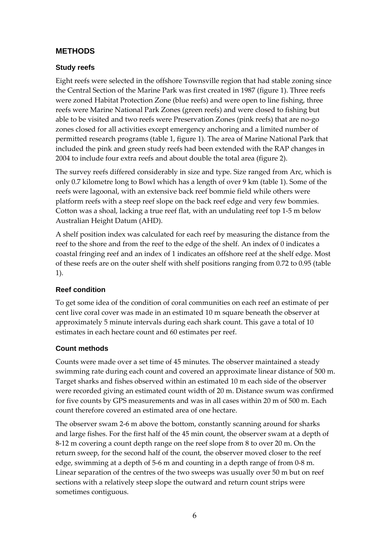## **METHODS**

### **Study reefs**

Eight reefs were selected in the offshore Townsville region that had stable zoning since the Central Section of the Marine Park was first created in 1987 (figure 1). Three reefs were zoned Habitat Protection Zone (blue reefs) and were open to line fishing, three reefs were Marine National Park Zones (green reefs) and were closed to fishing but able to be visited and two reefs were Preservation Zones (pink reefs) that are no‐go zones closed for all activities except emergency anchoring and a limited number of permitted research programs (table 1, figure 1). The area of Marine National Park that included the pink and green study reefs had been extended with the RAP changes in 2004 to include four extra reefs and about double the total area (figure 2).

The survey reefs differed considerably in size and type. Size ranged from Arc, which is only 0.7 kilometre long to Bowl which has a length of over 9 km (table 1). Some of the reefs were lagoonal, with an extensive back reef bommie field while others were platform reefs with a steep reef slope on the back reef edge and very few bommies. Cotton was a shoal, lacking a true reef flat, with an undulating reef top 1‐5 m below Australian Height Datum (AHD).

A shelf position index was calculated for each reef by measuring the distance from the reef to the shore and from the reef to the edge of the shelf. An index of 0 indicates a coastal fringing reef and an index of 1 indicates an offshore reef at the shelf edge. Most of these reefs are on the outer shelf with shelf positions ranging from 0.72 to 0.95 (table 1).

#### **Reef condition**

To get some idea of the condition of coral communities on each reef an estimate of per cent live coral cover was made in an estimated 10 m square beneath the observer at approximately 5 minute intervals during each shark count. This gave a total of 10 estimates in each hectare count and 60 estimates per reef.

#### **Count methods**

Counts were made over a set time of 45 minutes. The observer maintained a steady swimming rate during each count and covered an approximate linear distance of 500 m. Target sharks and fishes observed within an estimated 10 m each side of the observer were recorded giving an estimated count width of 20 m. Distance swum was confirmed for five counts by GPS measurements and was in all cases within 20 m of 500 m. Each count therefore covered an estimated area of one hectare.

The observer swam 2-6 m above the bottom, constantly scanning around for sharks and large fishes. For the first half of the 45 min count, the observer swam at a depth of 8‐12 m covering a count depth range on the reef slope from 8 to over 20 m. On the return sweep, for the second half of the count, the observer moved closer to the reef edge, swimming at a depth of 5‐6 m and counting in a depth range of from 0‐8 m. Linear separation of the centres of the two sweeps was usually over 50 m but on reef sections with a relatively steep slope the outward and return count strips were sometimes contiguous.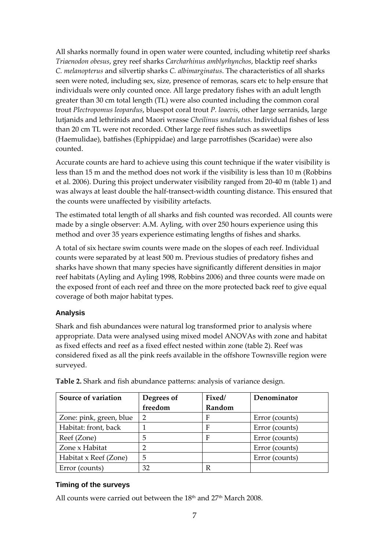All sharks normally found in open water were counted, including whitetip reef sharks *Triaenodon obesus*, grey reef sharks *Carcharhinus amblyrhynchos*, blacktip reef sharks *C. melanopterus* and silvertip sharks *C. albimarginatus*. The characteristics of all sharks seen were noted, including sex, size, presence of remoras, scars etc to help ensure that individuals were only counted once. All large predatory fishes with an adult length greater than 30 cm total length (TL) were also counted including the common coral trout *Plectropomus leopardus*, bluespot coral trout *P. loaevis*, other large serranids, large lutjanids and lethrinids and Maori wrasse *Cheilinus undulatus*. Individual fishes of less than 20 cm TL were not recorded. Other large reef fishes such as sweetlips (Haemulidae), batfishes (Ephippidae) and large parrotfishes (Scaridae) were also counted.

Accurate counts are hard to achieve using this count technique if the water visibility is less than 15 m and the method does not work if the visibility is less than 10 m (Robbins et al. 2006). During this project underwater visibility ranged from 20‐40 m (table 1) and was always at least double the half‐transect‐width counting distance. This ensured that the counts were unaffected by visibility artefacts.

The estimated total length of all sharks and fish counted was recorded. All counts were made by a single observer: A.M. Ayling, with over 250 hours experience using this method and over 35 years experience estimating lengths of fishes and sharks.

A total of six hectare swim counts were made on the slopes of each reef. Individual counts were separated by at least 500 m. Previous studies of predatory fishes and sharks have shown that many species have significantly different densities in major reef habitats (Ayling and Ayling 1998, Robbins 2006) and three counts were made on the exposed front of each reef and three on the more protected back reef to give equal coverage of both major habitat types.

#### **Analysis**

Shark and fish abundances were natural log transformed prior to analysis where appropriate. Data were analysed using mixed model ANOVAs with zone and habitat as fixed effects and reef as a fixed effect nested within zone (table 2). Reef was considered fixed as all the pink reefs available in the offshore Townsville region were surveyed.

| Source of variation     | Degrees of     | Fixed/ | Denominator    |
|-------------------------|----------------|--------|----------------|
|                         | freedom        | Random |                |
| Zone: pink, green, blue | $\overline{2}$ | F      | Error (counts) |
| Habitat: front, back    |                | F      | Error (counts) |
| Reef (Zone)             | 5              | F      | Error (counts) |
| Zone x Habitat          |                |        | Error (counts) |
| Habitat x Reef (Zone)   | 5              |        | Error (counts) |
| Error (counts)          | 32             |        |                |

**Table 2.** Shark and fish abundance patterns: analysis of variance design.

#### **Timing of the surveys**

All counts were carried out between the  $18<sup>th</sup>$  and  $27<sup>th</sup>$  March 2008.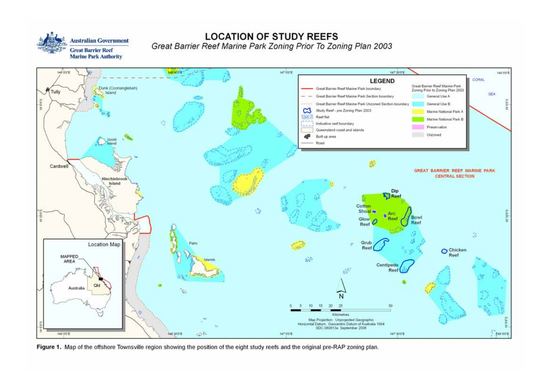

**LOCATION OF STUDY REEFS** Great Barrier Reef Marine Park Zoning Prior To Zoning Plan 2003



Figure 1. Map of the offshore Townsville region showing the position of the eight study reefs and the original pre-RAP zoning plan.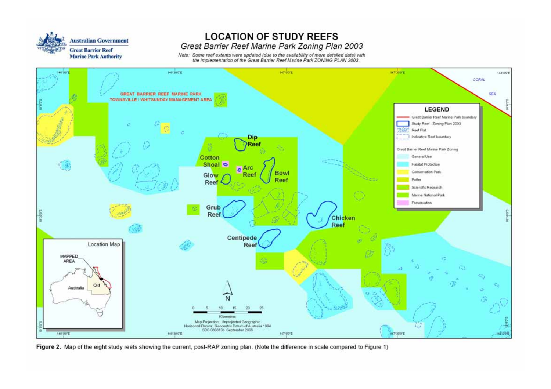

## **LOCATION OF STUDY REEFS** Great Barrier Reef Marine Park Zoning Plan 2003

Note: Some reef extents were updated (due to the availability of more detailed data) with<br>the implementation of the Great Barrier Reef Marine Park ZONING PLAN 2003.



Figure 2. Map of the eight study reefs showing the current, post-RAP zoning plan. (Note the difference in scale compared to Figure 1)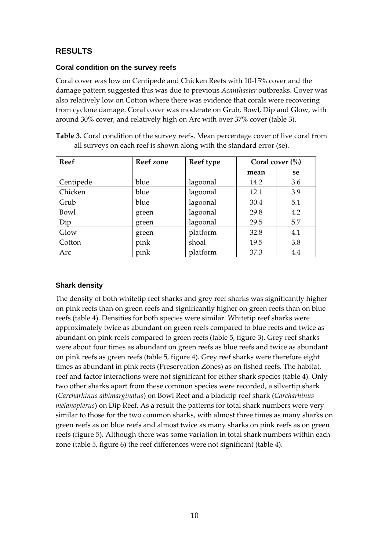## **RESULTS**

#### **Coral condition on the survey reefs**

Coral cover was low on Centipede and Chicken Reefs with 10‐15% cover and the damage pattern suggested this was due to previous *Acanthaster* outbreaks. Cover was also relatively low on Cotton where there was evidence that corals were recovering from cyclone damage. Coral cover was moderate on Grub, Bowl, Dip and Glow, with around 30% cover, and relatively high on Arc with over 37% cover (table 3).

| Table 3. Coral condition of the survey reefs. Mean percentage cover of live coral from |  |
|----------------------------------------------------------------------------------------|--|
| all surveys on each reef is shown along with the standard error (se).                  |  |

| <b>Reef</b> | Reef zone | Reef type |      | Coral cover $\frac{6}{6}$ |
|-------------|-----------|-----------|------|---------------------------|
|             |           |           | mean | se                        |
| Centipede   | blue      | lagoonal  | 14.2 | 3.6                       |
| Chicken     | blue      | lagoonal  | 12.1 | 3.9                       |
| Grub        | blue      | lagoonal  | 30.4 | 5.1                       |
| Bowl        | green     | lagoonal  | 29.8 | 4.2                       |
| Dip         | green     | lagoonal  | 29.5 | 5.7                       |
| Glow        | green     | platform  | 32.8 | 4.1                       |
| Cotton      | pink      | shoal     | 19.5 | 3.8                       |
| Arc         | pink      | platform  | 37.3 | 4.4                       |

#### **Shark density**

The density of both whitetip reef sharks and grey reef sharks was significantly higher on pink reefs than on green reefs and significantly higher on green reefs than on blue reefs (table 4). Densities for both species were similar. Whitetip reef sharks were approximately twice as abundant on green reefs compared to blue reefs and twice as abundant on pink reefs compared to green reefs (table 5, figure 3). Grey reef sharks were about four times as abundant on green reefs as blue reefs and twice as abundant on pink reefs as green reefs (table 5, figure 4). Grey reef sharks were therefore eight times as abundant in pink reefs (Preservation Zones) as on fished reefs. The habitat, reef and factor interactions were not significant for either shark species (table 4). Only two other sharks apart from these common species were recorded, a silvertip shark (*Carcharhinus albimarginatus*) on Bowl Reef and a blacktip reef shark (*Carcharhinus melanopterus*) on Dip Reef. As a result the patterns for total shark numbers were very similar to those for the two common sharks, with almost three times as many sharks on green reefs as on blue reefs and almost twice as many sharks on pink reefs as on green reefs (figure 5). Although there was some variation in total shark numbers within each zone (table 5, figure 6) the reef differences were not significant (table 4).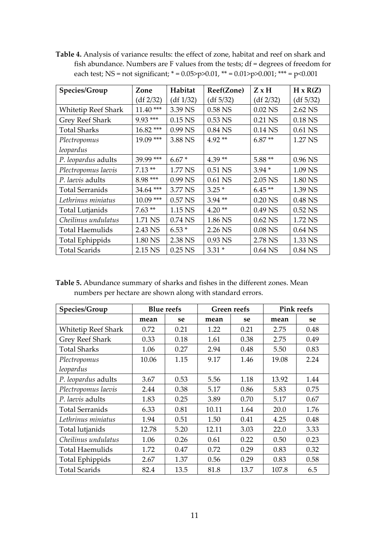**Table 4.** Analysis of variance results: the effect of zone, habitat and reef on shark and fish abundance. Numbers are F values from the tests; df = degrees of freedom for each test; NS = not significant;  $* = 0.05$ >p>0.01,  $** = 0.01$ >p>0.001;  $*** = p$ <0.001

| Species/Group              | Zone        | Habitat   | Reef(Zone) | $Z \times H$ | $H \times R(Z)$ |
|----------------------------|-------------|-----------|------------|--------------|-----------------|
|                            | (df 2/32)   | (df 1/32) | (df 5/32)  | (df 2/32)    | (df 5/32)       |
| <b>Whitetip Reef Shark</b> | $11.40***$  | 3.39 NS   | $0.58$ NS  | $0.02$ NS    | 2.62 NS         |
| Grey Reef Shark            | $9.93***$   | $0.15$ NS | $0.53$ NS  | 0.21 NS      | $0.18$ NS       |
| <b>Total Sharks</b>        | 16.82 ***   | 0.99 NS   | 0.84 NS    | 0.14 NS      | $0.61$ NS       |
| Plectropomus               | $19.09***$  | 3.88 NS   | $4.92**$   | $6.87**$     | 1.27 NS         |
| leopardus                  |             |           |            |              |                 |
| P. leopardus adults        | 39.99 ***   | $6.67*$   | $4.39**$   | $5.88**$     | 0.96 NS         |
| Plectropomus laevis        | $7.13**$    | 1.77 NS   | 0.51 NS    | $3.94*$      | 1.09 NS         |
| P. laevis adults           | 8.98 ***    | 0.99 NS   | $0.61$ NS  | 2.05 NS      | 1.80 NS         |
| <b>Total Serranids</b>     | 34.64 ***   | 3.77 NS   | $3.25*$    | $6.45**$     | 1.39 NS         |
| Lethrinus miniatus         | $10.09$ *** | 0.57 NS   | $3.94**$   | $0.20$ NS    | $0.48$ NS       |
| Total Lutjanids            | $7.63**$    | 1.15 NS   | $4.20**$   | 0.49 NS      | $0.52$ NS       |
| Cheilinus undulatus        | 1.71 NS     | $0.74$ NS | 1.86 NS    | $0.62$ NS    | 1.72 NS         |
| <b>Total Haemulids</b>     | 2.43 NS     | $6.53*$   | 2.26 NS    | $0.08$ NS    | $0.64$ NS       |
| <b>Total Ephippids</b>     | 1.80 NS     | 2.38 NS   | 0.93 NS    | 2.78 NS      | 1.33 NS         |
| <b>Total Scarids</b>       | 2.15 NS     | $0.25$ NS | $3.31*$    | $0.64$ NS    | 0.84 NS         |

**Table 5.** Abundance summary of sharks and fishes in the different zones. Mean numbers per hectare are shown along with standard errors.

| Species/Group              |       | <b>Blue reefs</b> | <b>Green reefs</b> |      | <b>Pink reefs</b> |      |
|----------------------------|-------|-------------------|--------------------|------|-------------------|------|
|                            | mean  | se                | mean               | se   | mean              | se   |
| <b>Whitetip Reef Shark</b> | 0.72  | 0.21              | 1.22               | 0.21 | 2.75              | 0.48 |
| Grey Reef Shark            | 0.33  | 0.18              | 1.61               | 0.38 | 2.75              | 0.49 |
| <b>Total Sharks</b>        | 1.06  | 0.27              | 2.94               | 0.48 | 5.50              | 0.83 |
| Plectropomus               | 10.06 | 1.15              | 9.17               | 1.46 | 19.08             | 2.24 |
| leopardus                  |       |                   |                    |      |                   |      |
| P. leopardus adults        | 3.67  | 0.53              | 5.56               | 1.18 | 13.92             | 1.44 |
| Plectropomus laevis        | 2.44  | 0.38              | 5.17               | 0.86 | 5.83              | 0.75 |
| P. laevis adults           | 1.83  | 0.25              | 3.89               | 0.70 | 5.17              | 0.67 |
| <b>Total Serranids</b>     | 6.33  | 0.81              | 10.11              | 1.64 | 20.0              | 1.76 |
| Lethrinus miniatus         | 1.94  | 0.51              | 1.50               | 0.41 | 4.25              | 0.48 |
| Total lutjanids            | 12.78 | 5.20              | 12.11              | 3.03 | 22.0              | 3.33 |
| Cheilinus undulatus        | 1.06  | 0.26              | 0.61               | 0.22 | 0.50              | 0.23 |
| <b>Total Haemulids</b>     | 1.72  | 0.47              | 0.72               | 0.29 | 0.83              | 0.32 |
| Total Ephippids            | 2.67  | 1.37              | 0.56               | 0.29 | 0.83              | 0.58 |
| <b>Total Scarids</b>       | 82.4  | 13.5              | 81.8               | 13.7 | 107.8             | 6.5  |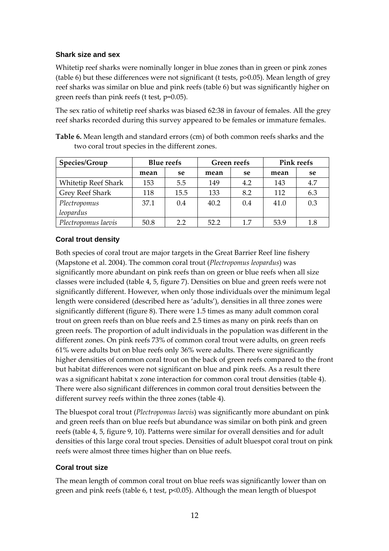#### **Shark size and sex**

Whitetip reef sharks were nominally longer in blue zones than in green or pink zones (table 6) but these differences were not significant (t tests, p>0.05). Mean length of grey reef sharks was similar on blue and pink reefs (table 6) but was significantly higher on green reefs than pink reefs (t test, p=0.05).

The sex ratio of whitetip reef sharks was biased 62:38 in favour of females. All the grey reef sharks recorded during this survey appeared to be females or immature females.

**Table 6.** Mean length and standard errors (cm) of both common reefs sharks and the two coral trout species in the different zones.

| Species/Group              | <b>Blue reefs</b><br>Green reefs |      |      | <b>Pink reefs</b> |      |     |
|----------------------------|----------------------------------|------|------|-------------------|------|-----|
|                            | mean                             | se   | mean | se                | mean | se  |
| <b>Whitetip Reef Shark</b> | 153                              | 5.5  | 149  | 4.2               | 143  | 4.7 |
| Grey Reef Shark            | 118                              | 15.5 | 133  | 8.2               | 112  | 6.3 |
| Plectropomus               | 37.1                             | 0.4  | 40.2 | 0.4               | 41.0 | 0.3 |
| leopardus                  |                                  |      |      |                   |      |     |
| Plectropomus laevis        | 50.8                             | 2.2  | 52.2 | 17                | 53.9 | 1.8 |

### **Coral trout density**

Both species of coral trout are major targets in the Great Barrier Reef line fishery (Mapstone et al. 2004). The common coral trout (*Plectropomus leopardus*) was significantly more abundant on pink reefs than on green or blue reefs when all size classes were included (table 4, 5, figure 7). Densities on blue and green reefs were not significantly different. However, when only those individuals over the minimum legal length were considered (described here as 'adults'), densities in all three zones were significantly different (figure 8). There were 1.5 times as many adult common coral trout on green reefs than on blue reefs and 2.5 times as many on pink reefs than on green reefs. The proportion of adult individuals in the population was different in the different zones. On pink reefs 73% of common coral trout were adults, on green reefs 61% were adults but on blue reefs only 36% were adults. There were significantly higher densities of common coral trout on the back of green reefs compared to the front but habitat differences were not significant on blue and pink reefs. As a result there was a significant habitat x zone interaction for common coral trout densities (table 4). There were also significant differences in common coral trout densities between the different survey reefs within the three zones (table 4).

The bluespot coral trout (*Plectropomus laevis*) was significantly more abundant on pink and green reefs than on blue reefs but abundance was similar on both pink and green reefs (table 4, 5, figure 9, 10). Patterns were similar for overall densities and for adult densities of this large coral trout species. Densities of adult bluespot coral trout on pink reefs were almost three times higher than on blue reefs.

#### **Coral trout size**

The mean length of common coral trout on blue reefs was significantly lower than on green and pink reefs (table 6, t test, p<0.05). Although the mean length of bluespot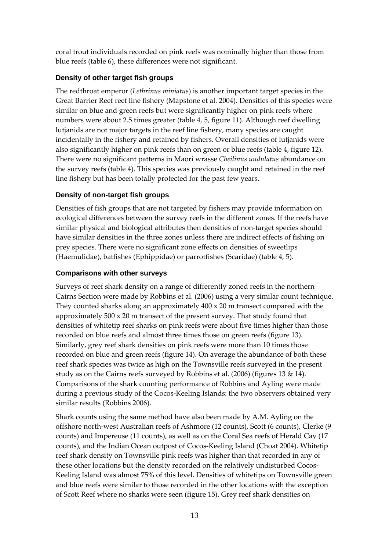coral trout individuals recorded on pink reefs was nominally higher than those from blue reefs (table 6), these differences were not significant.

### **Density of other target fish groups**

The redthroat emperor (*Lethrinus miniatus*) is another important target species in the Great Barrier Reef reef line fishery (Mapstone et al. 2004). Densities of this species were similar on blue and green reefs but were significantly higher on pink reefs where numbers were about 2.5 times greater (table 4, 5, figure 11). Although reef dwelling lutjanids are not major targets in the reef line fishery, many species are caught incidentally in the fishery and retained by fishers. Overall densities of lutjanids were also significantly higher on pink reefs than on green or blue reefs (table 4, figure 12). There were no significant patterns in Maori wrasse *Cheilinus undulatus* abundance on the survey reefs (table 4). This species was previously caught and retained in the reef line fishery but has been totally protected for the past few years.

### **Density of non-target fish groups**

Densities of fish groups that are not targeted by fishers may provide information on ecological differences between the survey reefs in the different zones. If the reefs have similar physical and biological attributes then densities of non-target species should have similar densities in the three zones unless there are indirect effects of fishing on prey species. There were no significant zone effects on densities of sweetlips (Haemulidae), batfishes (Ephippidae) or parrotfishes (Scaridae) (table 4, 5).

#### **Comparisons with other surveys**

Surveys of reef shark density on a range of differently zoned reefs in the northern Cairns Section were made by Robbins et al. (2006) using a very similar count technique. They counted sharks along an approximately  $400 \times 20$  m transect compared with the approximately 500 x 20 m transect of the present survey. That study found that densities of whitetip reef sharks on pink reefs were about five times higher than those recorded on blue reefs and almost three times those on green reefs (figure 13). Similarly, grey reef shark densities on pink reefs were more than 10 times those recorded on blue and green reefs (figure 14). On average the abundance of both these reef shark species was twice as high on the Townsville reefs surveyed in the present study as on the Cairns reefs surveyed by Robbins et al. (2006) (figures 13 & 14). Comparisons of the shark counting performance of Robbins and Ayling were made during a previous study of the Cocos‐Keeling Islands: the two observers obtained very similar results (Robbins 2006).

Shark counts using the same method have also been made by A.M. Ayling on the offshore north‐west Australian reefs of Ashmore (12 counts), Scott (6 counts), Clerke (9 counts) and Impereuse (11 counts), as well as on the Coral Sea reefs of Herald Cay (17 counts), and the Indian Ocean outpost of Cocos‐Keeling Island (Choat 2004). Whitetip reef shark density on Townsville pink reefs was higher than that recorded in any of these other locations but the density recorded on the relatively undisturbed Cocos-Keeling Island was almost 75% of this level. Densities of whitetips on Townsville green and blue reefs were similar to those recorded in the other locations with the exception of Scott Reef where no sharks were seen (figure 15). Grey reef shark densities on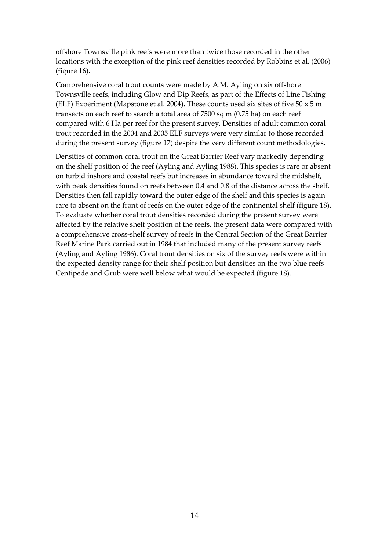offshore Townsville pink reefs were more than twice those recorded in the other locations with the exception of the pink reef densities recorded by Robbins et al. (2006) (figure 16).

Comprehensive coral trout counts were made by A.M. Ayling on six offshore Townsville reefs, including Glow and Dip Reefs, as part of the Effects of Line Fishing (ELF) Experiment (Mapstone et al. 2004). These counts used six sites of five  $50 \times 5$  m transects on each reef to search a total area of 7500 sq m (0.75 ha) on each reef compared with 6 Ha per reef for the present survey. Densities of adult common coral trout recorded in the 2004 and 2005 ELF surveys were very similar to those recorded during the present survey (figure 17) despite the very different count methodologies.

Densities of common coral trout on the Great Barrier Reef vary markedly depending on the shelf position of the reef (Ayling and Ayling 1988). This species is rare or absent on turbid inshore and coastal reefs but increases in abundance toward the midshelf, with peak densities found on reefs between 0.4 and 0.8 of the distance across the shelf. Densities then fall rapidly toward the outer edge of the shelf and this species is again rare to absent on the front of reefs on the outer edge of the continental shelf (figure 18). To evaluate whether coral trout densities recorded during the present survey were affected by the relative shelf position of the reefs, the present data were compared with a comprehensive cross‐shelf survey of reefs in the Central Section of the Great Barrier Reef Marine Park carried out in 1984 that included many of the present survey reefs (Ayling and Ayling 1986). Coral trout densities on six of the survey reefs were within the expected density range for their shelf position but densities on the two blue reefs Centipede and Grub were well below what would be expected (figure 18).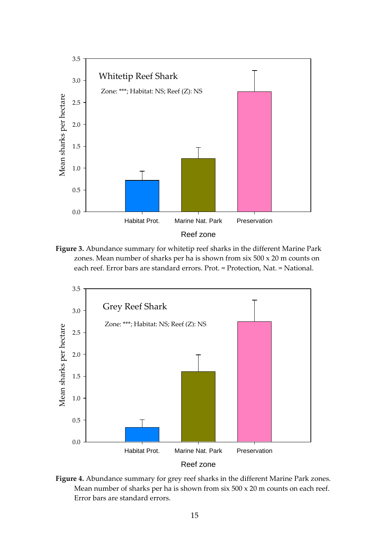

**Figure 3.** Abundance summary for whitetip reef sharks in the different Marine Park zones. Mean number of sharks per ha is shown from six 500 x 20 m counts on each reef. Error bars are standard errors. Prot. = Protection, Nat. = National.



**Figure 4.** Abundance summary for grey reef sharks in the different Marine Park zones. Mean number of sharks per ha is shown from  $\sin 500 \times 20$  m counts on each reef. Error bars are standard errors.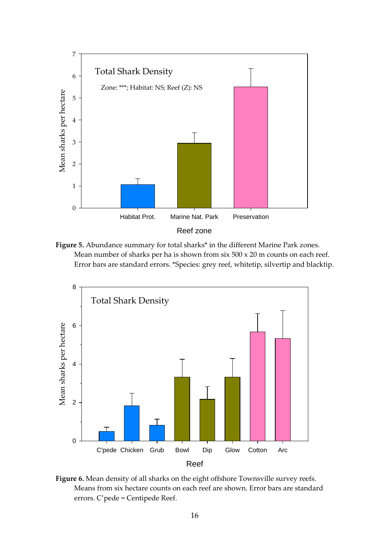

**Figure 5.** Abundance summary for total sharks\* in the different Marine Park zones. Mean number of sharks per ha is shown from  $\sin 500 \times 20$  m counts on each reef. Error bars are standard errors. \*Species: grey reef, whitetip, silvertip and blacktip.



**Figure 6.** Mean density of all sharks on the eight offshore Townsville survey reefs. Means from six hectare counts on each reef are shown. Error bars are standard errors. C'pede = Centipede Reef.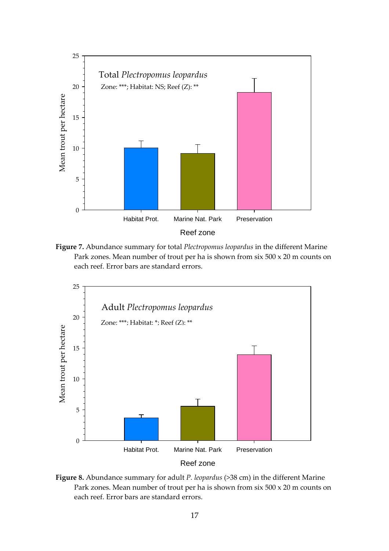

**Figure 7.** Abundance summary for total *Plectropomus leopardus* in the different Marine Park zones. Mean number of trout per ha is shown from six 500 x 20 m counts on each reef. Error bars are standard errors.



**Figure 8.** Abundance summary for adult *P. leopardus* (>38 cm) in the different Marine Park zones. Mean number of trout per ha is shown from six 500 x 20 m counts on each reef. Error bars are standard errors.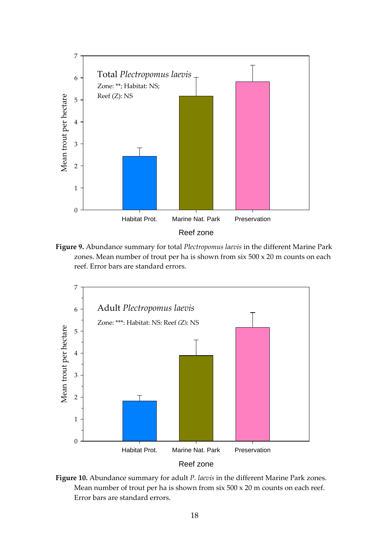

**Figure 9.** Abundance summary for total *Plectropomus laevis* in the different Marine Park zones. Mean number of trout per ha is shown from six 500 x 20 m counts on each reef. Error bars are standard errors.



**Figure 10.** Abundance summary for adult *P. laevis* in the different Marine Park zones. Mean number of trout per ha is shown from six 500 x 20 m counts on each reef. Error bars are standard errors.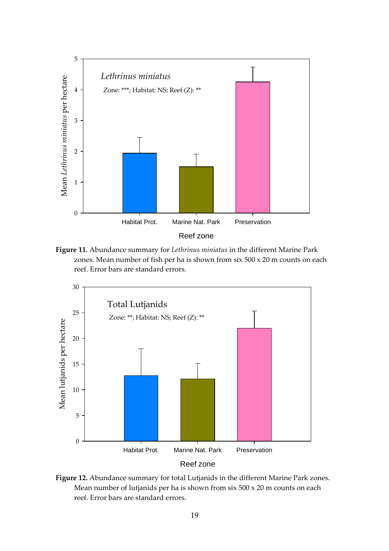

**Figure 11.** Abundance summary for *Lethrinus miniatus* in the different Marine Park zones. Mean number of fish per ha is shown from six 500 x 20 m counts on each reef. Error bars are standard errors.



**Figure 12.** Abundance summary for total Lutjanids in the different Marine Park zones. Mean number of lutjanids per ha is shown from six 500 x 20 m counts on each reef. Error bars are standard errors.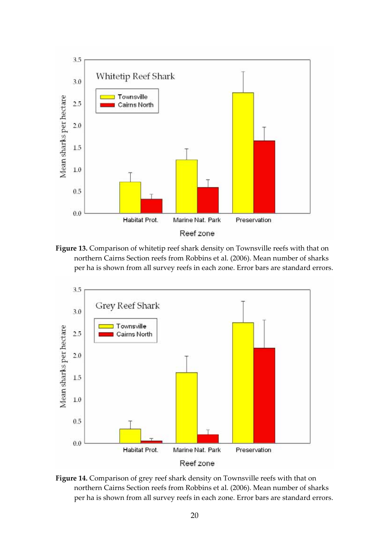

**Figure 13.** Comparison of whitetip reef shark density on Townsville reefs with that on northern Cairns Section reefs from Robbins et al. (2006). Mean number of sharks per ha is shown from all survey reefs in each zone. Error bars are standard errors.



**Figure 14.** Comparison of grey reef shark density on Townsville reefs with that on northern Cairns Section reefs from Robbins et al. (2006). Mean number of sharks per ha is shown from all survey reefs in each zone. Error bars are standard errors.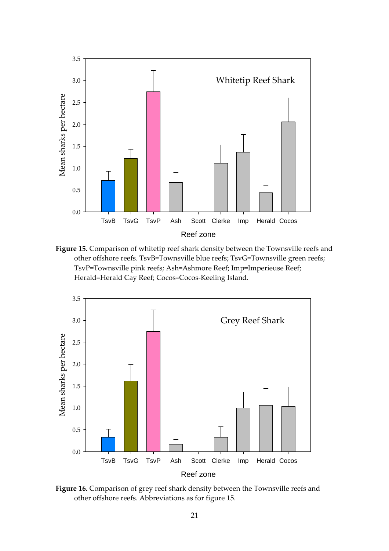

**Figure 15.** Comparison of whitetip reef shark density between the Townsville reefs and other offshore reefs. TsvB=Townsville blue reefs; TsvG=Townsville green reefs; TsvP=Townsville pink reefs; Ash=Ashmore Reef; Imp=Imperieuse Reef; Herald=Herald Cay Reef; Cocos=Cocos-Keeling Island.



**Figure 16.** Comparison of grey reef shark density between the Townsville reefs and other offshore reefs. Abbreviations as for figure 15.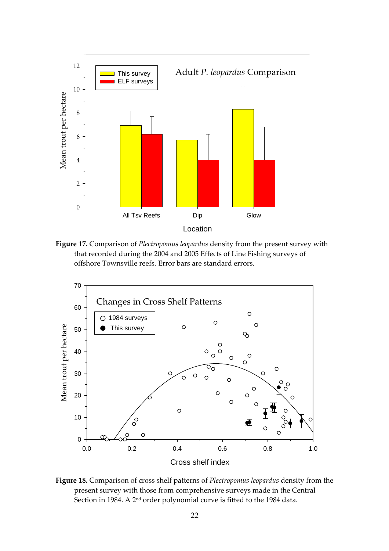

**Figure 17.** Comparison of *Plectropomus leopardus* density from the present survey with that recorded during the 2004 and 2005 Effects of Line Fishing surveys of offshore Townsville reefs. Error bars are standard errors.



**Figure 18.** Comparison of cross shelf patterns of *Plectropomus leopardus* density from the present survey with those from comprehensive surveys made in the Central Section in 1984. A 2<sup>nd</sup> order polynomial curve is fitted to the 1984 data.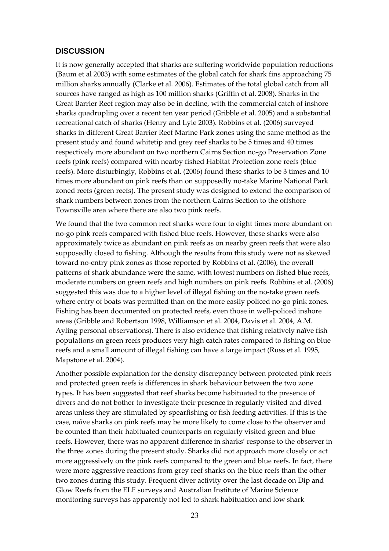#### **DISCUSSION**

It is now generally accepted that sharks are suffering worldwide population reductions (Baum et al 2003) with some estimates of the global catch for shark fins approaching 75 million sharks annually (Clarke et al. 2006). Estimates of the total global catch from all sources have ranged as high as 100 million sharks (Griffin et al. 2008). Sharks in the Great Barrier Reef region may also be in decline, with the commercial catch of inshore sharks quadrupling over a recent ten year period (Gribble et al. 2005) and a substantial recreational catch of sharks (Henry and Lyle 2003). Robbins et al. (2006) surveyed sharks in different Great Barrier Reef Marine Park zones using the same method as the present study and found whitetip and grey reef sharks to be 5 times and 40 times respectively more abundant on two northern Cairns Section no‐go Preservation Zone reefs (pink reefs) compared with nearby fished Habitat Protection zone reefs (blue reefs). More disturbingly, Robbins et al. (2006) found these sharks to be 3 times and 10 times more abundant on pink reefs than on supposedly no-take Marine National Park zoned reefs (green reefs). The present study was designed to extend the comparison of shark numbers between zones from the northern Cairns Section to the offshore Townsville area where there are also two pink reefs.

We found that the two common reef sharks were four to eight times more abundant on no‐go pink reefs compared with fished blue reefs. However, these sharks were also approximately twice as abundant on pink reefs as on nearby green reefs that were also supposedly closed to fishing. Although the results from this study were not as skewed toward no‐entry pink zones as those reported by Robbins et al. (2006), the overall patterns of shark abundance were the same, with lowest numbers on fished blue reefs, moderate numbers on green reefs and high numbers on pink reefs. Robbins et al. (2006) suggested this was due to a higher level of illegal fishing on the no-take green reefs where entry of boats was permitted than on the more easily policed no‐go pink zones. Fishing has been documented on protected reefs, even those in well-policed inshore areas (Gribble and Robertson 1998, Williamson et al. 2004, Davis et al. 2004, A.M. Ayling personal observations). There is also evidence that fishing relatively naïve fish populations on green reefs produces very high catch rates compared to fishing on blue reefs and a small amount of illegal fishing can have a large impact (Russ et al. 1995, Mapstone et al. 2004).

Another possible explanation for the density discrepancy between protected pink reefs and protected green reefs is differences in shark behaviour between the two zone types. It has been suggested that reef sharks become habituated to the presence of divers and do not bother to investigate their presence in regularly visited and dived areas unless they are stimulated by spearfishing or fish feeding activities. If this is the case, naïve sharks on pink reefs may be more likely to come close to the observer and be counted than their habituated counterparts on regularly visited green and blue reefs. However, there was no apparent difference in sharks' response to the observer in the three zones during the present study. Sharks did not approach more closely or act more aggressively on the pink reefs compared to the green and blue reefs. In fact, there were more aggressive reactions from grey reef sharks on the blue reefs than the other two zones during this study. Frequent diver activity over the last decade on Dip and Glow Reefs from the ELF surveys and Australian Institute of Marine Science monitoring surveys has apparently not led to shark habituation and low shark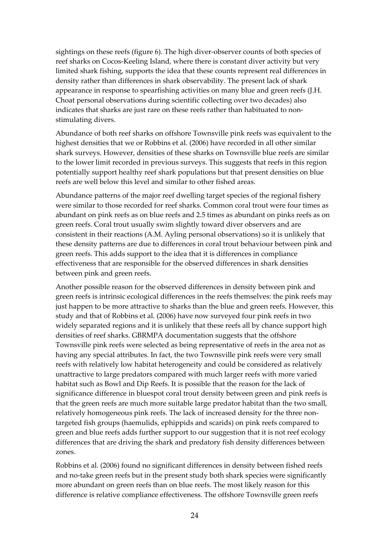sightings on these reefs (figure 6). The high diver‐observer counts of both species of reef sharks on Cocos‐Keeling Island, where there is constant diver activity but very limited shark fishing, supports the idea that these counts represent real differences in density rather than differences in shark observability. The present lack of shark appearance in response to spearfishing activities on many blue and green reefs (J.H. Choat personal observations during scientific collecting over two decades) also indicates that sharks are just rare on these reefs rather than habituated to nonstimulating divers.

Abundance of both reef sharks on offshore Townsville pink reefs was equivalent to the highest densities that we or Robbins et al. (2006) have recorded in all other similar shark surveys. However, densities of these sharks on Townsville blue reefs are similar to the lower limit recorded in previous surveys. This suggests that reefs in this region potentially support healthy reef shark populations but that present densities on blue reefs are well below this level and similar to other fished areas.

Abundance patterns of the major reef dwelling target species of the regional fishery were similar to those recorded for reef sharks. Common coral trout were four times as abundant on pink reefs as on blue reefs and 2.5 times as abundant on pinks reefs as on green reefs. Coral trout usually swim slightly toward diver observers and are consistent in their reactions (A.M. Ayling personal observations) so it is unlikely that these density patterns are due to differences in coral trout behaviour between pink and green reefs. This adds support to the idea that it is differences in compliance effectiveness that are responsible for the observed differences in shark densities between pink and green reefs.

Another possible reason for the observed differences in density between pink and green reefs is intrinsic ecological differences in the reefs themselves: the pink reefs may just happen to be more attractive to sharks than the blue and green reefs. However, this study and that of Robbins et al. (2006) have now surveyed four pink reefs in two widely separated regions and it is unlikely that these reefs all by chance support high densities of reef sharks. GBRMPA documentation suggests that the offshore Townsville pink reefs were selected as being representative of reefs in the area not as having any special attributes. In fact, the two Townsville pink reefs were very small reefs with relatively low habitat heterogeneity and could be considered as relatively unattractive to large predators compared with much larger reefs with more varied habitat such as Bowl and Dip Reefs. It is possible that the reason for the lack of significance difference in bluespot coral trout density between green and pink reefs is that the green reefs are much more suitable large predator habitat than the two small, relatively homogeneous pink reefs. The lack of increased density for the three non‐ targeted fish groups (haemulids, ephippids and scarids) on pink reefs compared to green and blue reefs adds further support to our suggestion that it is not reef ecology differences that are driving the shark and predatory fish density differences between zones.

Robbins et al. (2006) found no significant differences in density between fished reefs and no-take green reefs but in the present study both shark species were significantly more abundant on green reefs than on blue reefs. The most likely reason for this difference is relative compliance effectiveness. The offshore Townsville green reefs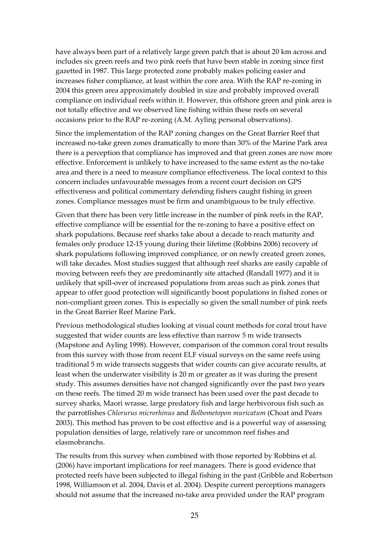have always been part of a relatively large green patch that is about 20 km across and includes six green reefs and two pink reefs that have been stable in zoning since first gazetted in 1987. This large protected zone probably makes policing easier and increases fisher compliance, at least within the core area. With the RAP re‐zoning in 2004 this green area approximately doubled in size and probably improved overall compliance on individual reefs within it. However, this offshore green and pink area is not totally effective and we observed line fishing within these reefs on several occasions prior to the RAP re‐zoning (A.M. Ayling personal observations).

Since the implementation of the RAP zoning changes on the Great Barrier Reef that increased no‐take green zones dramatically to more than 30% of the Marine Park area there is a perception that compliance has improved and that green zones are now more effective. Enforcement is unlikely to have increased to the same extent as the no‐take area and there is a need to measure compliance effectiveness. The local context to this concern includes unfavourable messages from a recent court decision on GPS effectiveness and political commentary defending fishers caught fishing in green zones. Compliance messages must be firm and unambiguous to be truly effective.

Given that there has been very little increase in the number of pink reefs in the RAP, effective compliance will be essential for the re‐zoning to have a positive effect on shark populations. Because reef sharks take about a decade to reach maturity and females only produce 12‐15 young during their lifetime (Robbins 2006) recovery of shark populations following improved compliance, or on newly created green zones, will take decades. Most studies suggest that although reef sharks are easily capable of moving between reefs they are predominantly site attached (Randall 1977) and it is unlikely that spill‐over of increased populations from areas such as pink zones that appear to offer good protection will significantly boost populations in fished zones or non‐compliant green zones. This is especially so given the small number of pink reefs in the Great Barrier Reef Marine Park.

Previous methodological studies looking at visual count methods for coral trout have suggested that wider counts are less effective than narrow 5 m wide transects (Mapstone and Ayling 1998). However, comparison of the common coral trout results from this survey with those from recent ELF visual surveys on the same reefs using traditional 5 m wide transects suggests that wider counts can give accurate results, at least when the underwater visibility is 20 m or greater as it was during the present study. This assumes densities have not changed significantly over the past two years on these reefs. The timed 20 m wide transect has been used over the past decade to survey sharks, Maori wrasse, large predatory fish and large herbivorous fish such as the parrotfishes *Chlorurus microrhinus* and *Bolbometopon muricatum* (Choat and Pears 2003). This method has proven to be cost effective and is a powerful way of assessing population densities of large, relatively rare or uncommon reef fishes and elasmobranchs.

The results from this survey when combined with those reported by Robbins et al. (2006) have important implications for reef managers. There is good evidence that protected reefs have been subjected to illegal fishing in the past (Gribble and Robertson 1998, Williamson et al. 2004, Davis et al. 2004). Despite current perceptions managers should not assume that the increased no-take area provided under the RAP program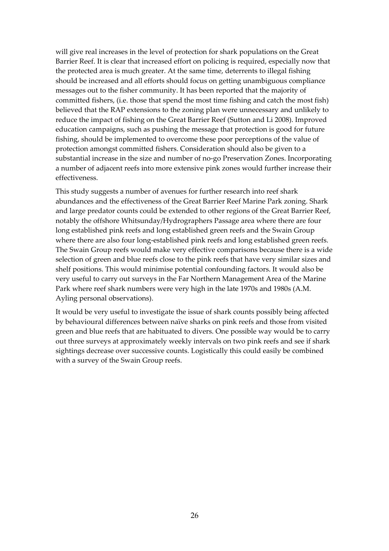will give real increases in the level of protection for shark populations on the Great Barrier Reef. It is clear that increased effort on policing is required, especially now that the protected area is much greater. At the same time, deterrents to illegal fishing should be increased and all efforts should focus on getting unambiguous compliance messages out to the fisher community. It has been reported that the majority of committed fishers, (i.e. those that spend the most time fishing and catch the most fish) believed that the RAP extensions to the zoning plan were unnecessary and unlikely to reduce the impact of fishing on the Great Barrier Reef (Sutton and Li 2008). Improved education campaigns, such as pushing the message that protection is good for future fishing, should be implemented to overcome these poor perceptions of the value of protection amongst committed fishers. Consideration should also be given to a substantial increase in the size and number of no‐go Preservation Zones. Incorporating a number of adjacent reefs into more extensive pink zones would further increase their effectiveness.

This study suggests a number of avenues for further research into reef shark abundances and the effectiveness of the Great Barrier Reef Marine Park zoning. Shark and large predator counts could be extended to other regions of the Great Barrier Reef, notably the offshore Whitsunday/Hydrographers Passage area where there are four long established pink reefs and long established green reefs and the Swain Group where there are also four long-established pink reefs and long established green reefs. The Swain Group reefs would make very effective comparisons because there is a wide selection of green and blue reefs close to the pink reefs that have very similar sizes and shelf positions. This would minimise potential confounding factors. It would also be very useful to carry out surveys in the Far Northern Management Area of the Marine Park where reef shark numbers were very high in the late 1970s and 1980s (A.M. Ayling personal observations).

It would be very useful to investigate the issue of shark counts possibly being affected by behavioural differences between naïve sharks on pink reefs and those from visited green and blue reefs that are habituated to divers. One possible way would be to carry out three surveys at approximately weekly intervals on two pink reefs and see if shark sightings decrease over successive counts. Logistically this could easily be combined with a survey of the Swain Group reefs.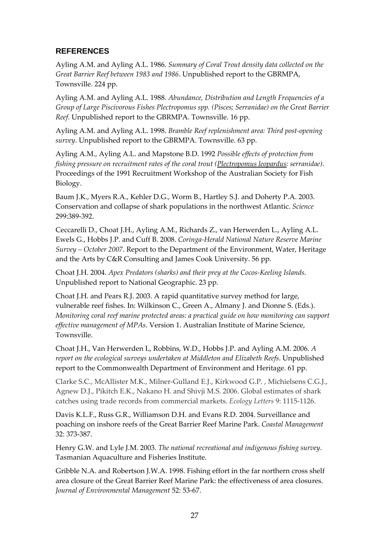## **REFERENCES**

Ayling A.M. and Ayling A.L. 1986. *Summary of Coral Trout density data collected on the Great Barrier Reef between 1983 and 1986*. Unpublished report to the GBRMPA, Townsville. 224 pp.

Ayling A.M. and Ayling A.L. 1988. *Abundance, Distribution and Length Frequencies of a Group of Large Piscivorous Fishes Plectropomus spp. (Pisces; Serranidae) on the Great Barrier Reef*. Unpublished report to the GBRMPA. Townsville. 16 pp.

Ayling A.M. and Ayling A.L. 1998. *Bramble Reef replenishment area: Third post‐opening survey*. Unpublished report to the GBRMPA. Townsville. 63 pp.

Ayling A.M., Ayling A.L. and Mapstone B.D. 1992 *Possible effects of protection from fishing pressure on recruitment rates of the coral trout (Plectropomus leopardus: serranidae)*. Proceedings of the 1991 Recruitment Workshop of the Australian Society for Fish Biology.

Baum J.K., Myers R.A., Kehler D.G., Worm B., Hartley S.J. and Doherty P.A. 2003. Conservation and collapse of shark populations in the northwest Atlantic. *Science* 299:389‐392.

Ceccarelli D., Choat J.H., Ayling A.M., Richards Z., van Herwerden L., Ayling A.L. Ewels G., Hobbs J.P. and Cuff B. 2008. *Coringa‐Herald National Nature Reserve Marine Survey – October 2007*. Report to the Department of the Environment, Water, Heritage and the Arts by C&R Consulting and James Cook University. 56 pp.

Choat J.H. 2004. *Apex Predators (sharks) and their prey at the Cocos‐Keeling Islands*. Unpublished report to National Geographic. 23 pp.

Choat J.H. and Pears R.J. 2003. A rapid quantitative survey method for large, vulnerable reef fishes. In: Wilkinson C., Green A., Almany J. and Dionne S. (Eds.). *Monitoring coral reef marine protected areas: a practical guide on how monitoring can support effective management of MPAs*. Version 1. Australian Institute of Marine Science, Townsville.

Choat J.H., Van Herwerden L, Robbins, W.D., Hobbs J.P. and Ayling A.M. 2006. *A report on the ecological surveys undertaken at Middleton and Elizabeth Reefs*. Unpublished report to the Commonwealth Department of Environment and Heritage. 61 pp.

Clarke S.C., McAllister M.K., Milner‐Gulland E.J., Kirkwood G.P. , Michielsens C.G.J., Agnew D.J., Pikitch E.K., Nakano H. and Shivji M.S. 2006. Global estimates of shark catches using trade records from commercial markets. *Ecology Letters* 9: 1115‐1126.

Davis K.L.F., Russ G.R., Williamson D.H. and Evans R.D. 2004. Surveillance and poaching on inshore reefs of the Great Barrier Reef Marine Park. *Coastal Management* 32: 373‐387.

Henry G.W. and Lyle J.M. 2003. *The national recreational and indigenous fishing survey*. Tasmanian Aquaculture and Fisheries Institute.

Gribble N.A. and Robertson J.W.A. 1998. Fishing effort in the far northern cross shelf area closure of the Great Barrier Reef Marine Park: the effectiveness of area closures. *Journal of Environmental Management* 52: 53‐67.